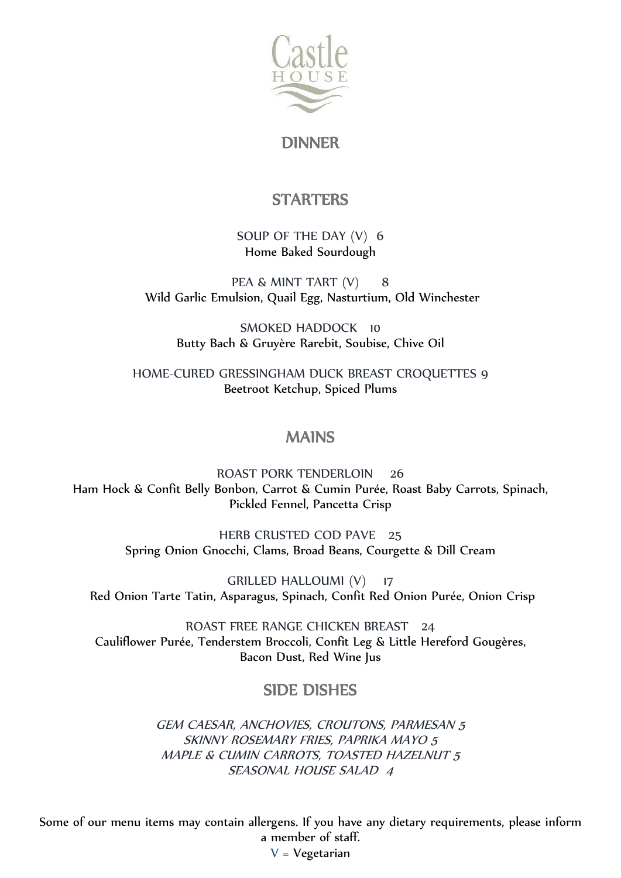

DINNER

# **STARTERS**

SOUP OF THE DAY (V) 6 Home Baked Sourdough

PEA & MINT TART (V) 8 Wild Garlic Emulsion, Quail Egg, Nasturtium, Old Winchester

SMOKED HADDOCK 10 Butty Bach & Gruyère Rarebit, Soubise, Chive Oil

HOME-CURED GRESSINGHAM DUCK BREAST CROQUETTES 9 Beetroot Ketchup, Spiced Plums

### MAINS

ROAST PORK TENDERLOIN 26 Ham Hock & Confit Belly Bonbon, Carrot & Cumin Purée, Roast Baby Carrots, Spinach, Pickled Fennel, Pancetta Crisp

> HERB CRUSTED COD PAVE 25 Spring Onion Gnocchi, Clams, Broad Beans, Courgette & Dill Cream

GRILLED HALLOUMI (V) 17 Red Onion Tarte Tatin, Asparagus, Spinach, Confit Red Onion Purée, Onion Crisp

ROAST FREE RANGE CHICKEN BREAST 24 Cauliflower Purée, Tenderstem Broccoli, Confit Leg & Little Hereford Gougères, Bacon Dust, Red Wine Jus

# SIDE DISHES

GEM CAESAR, ANCHOVIES, CROUTONS, PARMESAN 5 SKINNY ROSEMARY FRIES, PAPRIKA MAYO 5 MAPLE & CUMIN CARROTS, TOASTED HAZELNUT 5 SEASONAL HOUSE SALAD 4

Some of our menu items may contain allergens. If you have any dietary requirements, please inform a member of staff.  $V = V$ egetarian